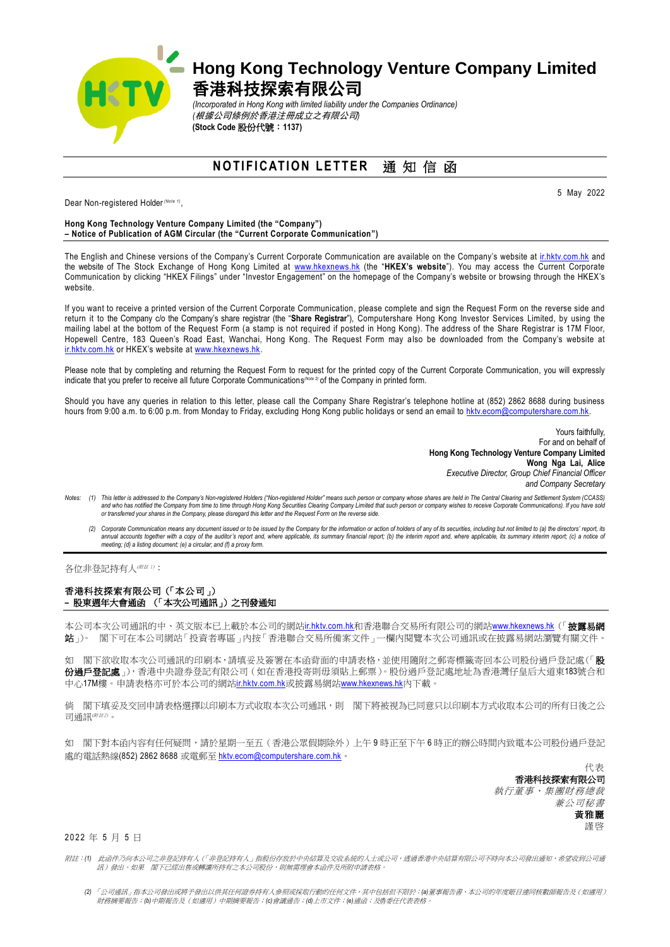

## **Hong Kong Technology Venture Company Limited** 香港科技探索有限公司

*(Incorporated in Hong Kong with limited liability under the Companies Ordinance) (*根據公司條例於香港注冊成立之有限公司*)* **(Stock Code** 股份代號:**1137)**

**NOTIFICATION LETTER** 通知信函

Dear Non-registered Holder *(Note 1)* ,

5 May 2022

## **Hong Kong Technology Venture Company Limited (the "Company") – Notice of Publication of AGM Circular (the "Current Corporate Communication")**

The English and Chinese versions of the Company's Current Corporate Communication are available on the Company's website a[t ir.hktv.com.hk](http://ir.hktv.com.hk/) and the website of The Stock Exchange of Hong Kong Limited at [www.hkexnews.hk](http://www.hkexnews.hk/) (the "**HKEX's website**"). You may access the Current Corporate Communication by clicking "HKEX Filings" under "Investor Engagement" on the homepage of the Company's website or browsing through the HKEX's website.

If you want to receive a printed version of the Current Corporate Communication, please complete and sign the Request Form on the reverse side and return it to the Company c/o the Company's share registrar (the "**Share Registrar**"), Computershare Hong Kong Investor Services Limited, by using the mailing label at the bottom of the Request Form (a stamp is not required if posted in Hong Kong). The address of the Share Registrar is 17M Floor, Hopewell Centre, 183 Queen's Road East, Wanchai, Hong Kong. The Request Form may also be downloaded from the Company's website at [ir.hktv.com.hk](http://ir.hktv.com.hk/) or HKEX's website at [www.hkexnews.hk.](http://www.hkexnews.hk/)

Please note that by completing and returning the Request Form to request for the printed copy of the Current Corporate Communication, you will expressly indicate that you prefer to receive all future Corporate Communications *(Note 2)* of the Company in printed form.

Should you have any queries in relation to this letter, please call the Company Share Registrar's telephone hotline at (852) 2862 8688 during business hours from 9:00 a.m. to 6:00 p.m. from Monday to Friday, excluding Hong Kong public holidays or send an email t[o hktv.ecom@computershare.com.hk.](mailto:hktv.ecom@computershare.com.hk)

> Yours faithfully, For and on behalf of **Hong Kong Technology Venture Company Limited Wong Nga Lai, Alice** *Executive Director, Group Chief Financial Officer and Company Secretary*

- Notes: (1) This letter is addressed to the Company's Non-registered Holders ("Non-registered Holders ("Non-registered Holders" means such person or company whose shares are held in The Central Clearing and Settlement Syste *or transferred your shares in the Company, please disregard this letter and the Request Form on the reverse side.*
	- (2) Corporate Communication means any document issued or to be issued by the Company for the information or action of holders of any of its securities, including but not limited to (a) the directors' report, its (a) the di

各位非登記持有人(###):

## 香港科技探索有限公司(「本公司」) **–** 股東週年大會通函 (「本次公司通訊」)之刊發通知

本公司本次公司通訊的中、英文版本已上載於本公司的網站[ir.hktv.com.hk](http://ir.hktv.com.hk/)和香港聯合交易所有限公司的網站[www.hkexnews.hk](http://www.hkexnews.hk/)(「**披露易網** 站」)。 閣下可在本公司網站「投資者專區」內按「香港聯合交易所備案文件」一欄內閱覽本次公司通訊或在披露易網站瀏覽有關文件。

如 閣下欲收取本次公司通訊的印刷本,請填妥及簽署在本函背面的申請表格,並使用隨附之郵寄標籤寄回本公司股份過戶登記處(「股 份過戶登記處」),香港中央證券登記有限公司(如在香港投寄則毋須貼上郵票)。股份過戶登記處地址為香港灣仔皇后大道東183號合和 中心17M樓。申請表格亦可於本公司的網站[ir.hktv.com.hk](http://ir.hktv.com.hk/)或披露易網站[www.hkexnews.hk](http://www.hkexnews.hk/)内下載。

倘 閣下填妥及交回申請表格選擇以印刷本方式收取本次公司通訊,則 閣下將被視為已同意只以印刷本方式收取本公司的所有日後之公 司通訊(<sup>附註2)</sup>。

如 閣下對本函內容有任何疑問,請於星期一至五(香港公眾假期除外)上午9時正至下午6時正的辦公時間內致電本公司股份過戶登記 處的電話熱線(852) 2862 8688 或電郵至 [hktv.ecom@computershare.com.hk](mailto:hktv.ecom@computershare.com.hk)。

> 代表 香港科技探索有限公司 執行董事、集團財務總裁 兼公司秘書 黃雅麗 謹啓

2 0 2 2 年 5 月 5 日

附註:*(1)* 此函件乃向本公司之非登記持有人(「非登記持有人」指股份存放於中央結算及交收系統的人士或公司,透過香港中央結算有限公司不時向本公司發出通知,希望收到公司通 訊)發出。如果 閣下已經出售或轉讓所持有之本公司股份,則無需理會本函件及所附申請表格。

*<sup>(2)</sup>* 「公司通訊」指本公司發出或將予發出以供其任何證券持有人參照或採取行動的任何文件,其中包括但不限於:*(a)*董事報告書、本公司的年度賬目連同核數師報告及(如適用) 財務摘要報告;*(b)*中期報告及(如適用)中期摘要報告;*(c)*會議通告;*(d)*上市文件;*(e)*通函;及*(f)*委任代表表格。